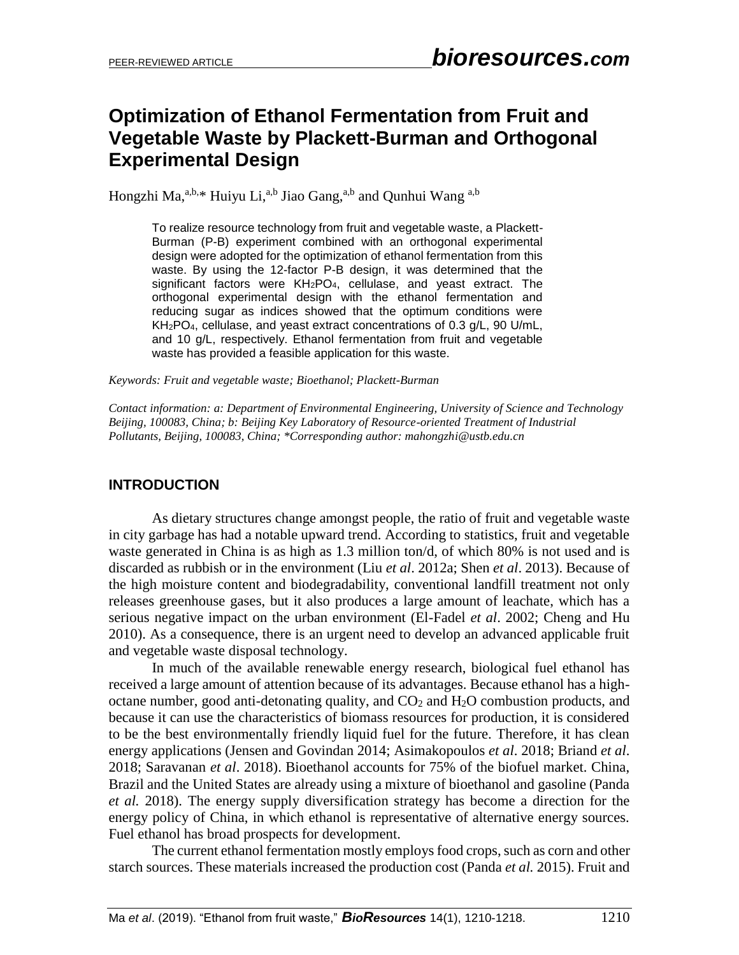# **Optimization of Ethanol Fermentation from Fruit and Vegetable Waste by Plackett-Burman and Orthogonal Experimental Design**

Hongzhi Ma, $a,b,*$  Huiyu Li, $a,b$  Jiao Gang, $a,b$  and Qunhui Wang  $a,b$ 

To realize resource technology from fruit and vegetable waste, a Plackett-Burman (P-B) experiment combined with an orthogonal experimental design were adopted for the optimization of ethanol fermentation from this waste. By using the 12-factor P-B design, it was determined that the significant factors were KH<sub>2</sub>PO<sub>4</sub>, cellulase, and yeast extract. The orthogonal experimental design with the ethanol fermentation and reducing sugar as indices showed that the optimum conditions were KH2PO4, cellulase, and yeast extract concentrations of 0.3 g/L, 90 U/mL, and 10 g/L, respectively. Ethanol fermentation from fruit and vegetable waste has provided a feasible application for this waste.

*Keywords: Fruit and vegetable waste; Bioethanol; Plackett-Burman*

*Contact information: a: Department of Environmental Engineering, University of Science and Technology Beijing, 100083, China; b: Beijing Key Laboratory of Resource-oriented Treatment of Industrial Pollutants, Beijing, 100083, China; \*Corresponding author: mahongzhi@ustb.edu.cn*

## **INTRODUCTION**

As dietary structures change amongst people, the ratio of fruit and vegetable waste in city garbage has had a notable upward trend. According to statistics, fruit and vegetable waste generated in China is as high as 1.3 million ton/d, of which 80% is not used and is discarded as rubbish or in the environment (Liu *et al*. 2012a; Shen *et al*. 2013). Because of the high moisture content and biodegradability, conventional landfill treatment not only releases greenhouse gases, but it also produces a large amount of leachate, which has a serious negative impact on the urban environment (El-Fadel *et al*. 2002; Cheng and Hu 2010). As a consequence, there is an urgent need to develop an advanced applicable fruit and vegetable waste disposal technology.

In much of the available renewable energy research, biological fuel ethanol has received a large amount of attention because of its advantages. Because ethanol has a highoctane number, good anti-detonating quality, and  $CO<sub>2</sub>$  and  $H<sub>2</sub>O$  combustion products, and because it can use the characteristics of biomass resources for production, it is considered to be the best environmentally friendly liquid fuel for the future. Therefore, it has clean energy applications (Jensen and Govindan 2014; Asimakopoulos *et al*. 2018; Briand *et al*. 2018; Saravanan *et al*. 2018). Bioethanol accounts for 75% of the biofuel market. China, Brazil and the United States are already using a mixture of bioethanol and gasoline (Panda *et al.* 2018). The energy supply diversification strategy has become a direction for the energy policy of China, in which ethanol is representative of alternative energy sources. Fuel ethanol has broad prospects for development.

The current ethanol fermentation mostly employs food crops, such as corn and other starch sources. These materials increased the production cost (Panda *et al.* 2015). Fruit and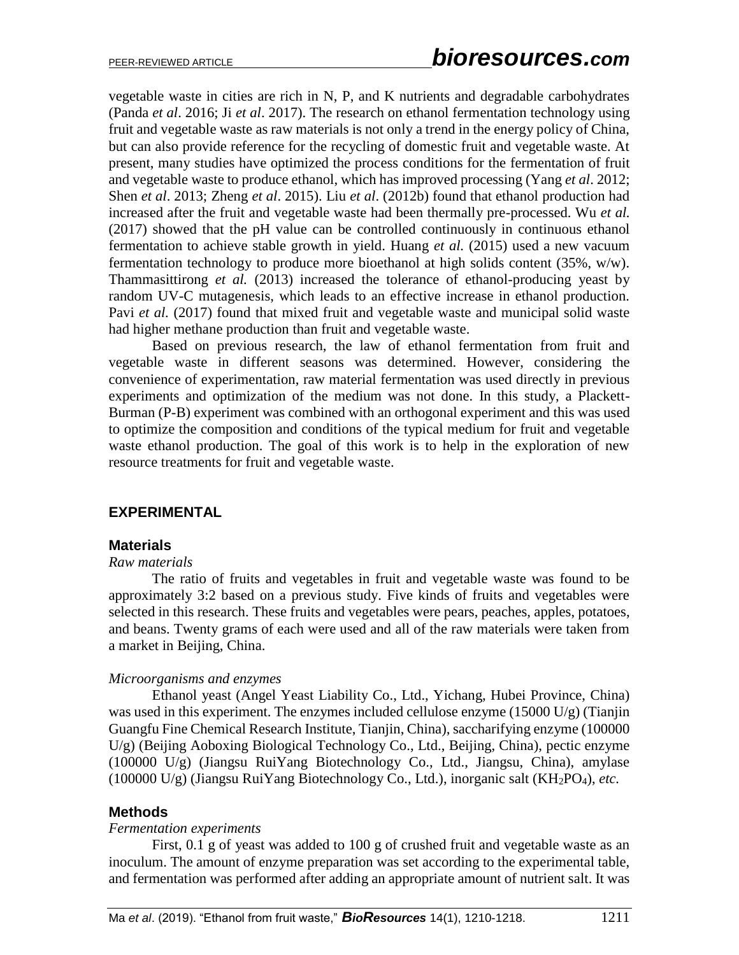vegetable waste in cities are rich in N, P, and K nutrients and degradable carbohydrates (Panda *et al*. 2016; Ji *et al*. 2017). The research on ethanol fermentation technology using fruit and vegetable waste as raw materials is not only a trend in the energy policy of China, but can also provide reference for the recycling of domestic fruit and vegetable waste. At present, many studies have optimized the process conditions for the fermentation of fruit and vegetable waste to produce ethanol, which has improved processing (Yang *et al*. 2012; Shen *et al*. 2013; Zheng *et al*. 2015). Liu *et al*. (2012b) found that ethanol production had increased after the fruit and vegetable waste had been thermally pre-processed. Wu *et al.* (2017) showed that the pH value can be controlled continuously in continuous ethanol fermentation to achieve stable growth in yield. Huang *et al.* (2015) used a new vacuum fermentation technology to produce more bioethanol at high solids content (35%, w/w). Thammasittirong *et al.* (2013) increased the tolerance of ethanol-producing yeast by random UV-C mutagenesis, which leads to an effective increase in ethanol production. Pavi *et al.* (2017) found that mixed fruit and vegetable waste and municipal solid waste had higher methane production than fruit and vegetable waste.

Based on previous research, the law of ethanol fermentation from fruit and vegetable waste in different seasons was determined. However, considering the convenience of experimentation, raw material fermentation was used directly in previous experiments and optimization of the medium was not done. In this study, a Plackett-Burman (P-B) experiment was combined with an orthogonal experiment and this was used to optimize the composition and conditions of the typical medium for fruit and vegetable waste ethanol production. The goal of this work is to help in the exploration of new resource treatments for fruit and vegetable waste.

## **EXPERIMENTAL**

#### **Materials**

#### *Raw materials*

The ratio of fruits and vegetables in fruit and vegetable waste was found to be approximately 3:2 based on a previous study. Five kinds of fruits and vegetables were selected in this research. These fruits and vegetables were pears, peaches, apples, potatoes, and beans. Twenty grams of each were used and all of the raw materials were taken from a market in Beijing, China.

#### *Microorganisms and enzymes*

Ethanol yeast (Angel Yeast Liability Co., Ltd., Yichang, Hubei Province, China) was used in this experiment. The enzymes included cellulose enzyme (15000 U/g) (Tianjin Guangfu Fine Chemical Research Institute, Tianjin, China), saccharifying enzyme (100000 U/g) (Beijing Aoboxing Biological Technology Co., Ltd., Beijing, China), pectic enzyme (100000 U/g) (Jiangsu RuiYang Biotechnology Co., Ltd., Jiangsu, China), amylase (100000 U/g) (Jiangsu RuiYang Biotechnology Co., Ltd.), inorganic salt (KH2PO4), *etc.*

#### **Methods**

#### *Fermentation experiments*

First, 0.1 g of yeast was added to 100 g of crushed fruit and vegetable waste as an inoculum. The amount of enzyme preparation was set according to the experimental table, and fermentation was performed after adding an appropriate amount of nutrient salt. It was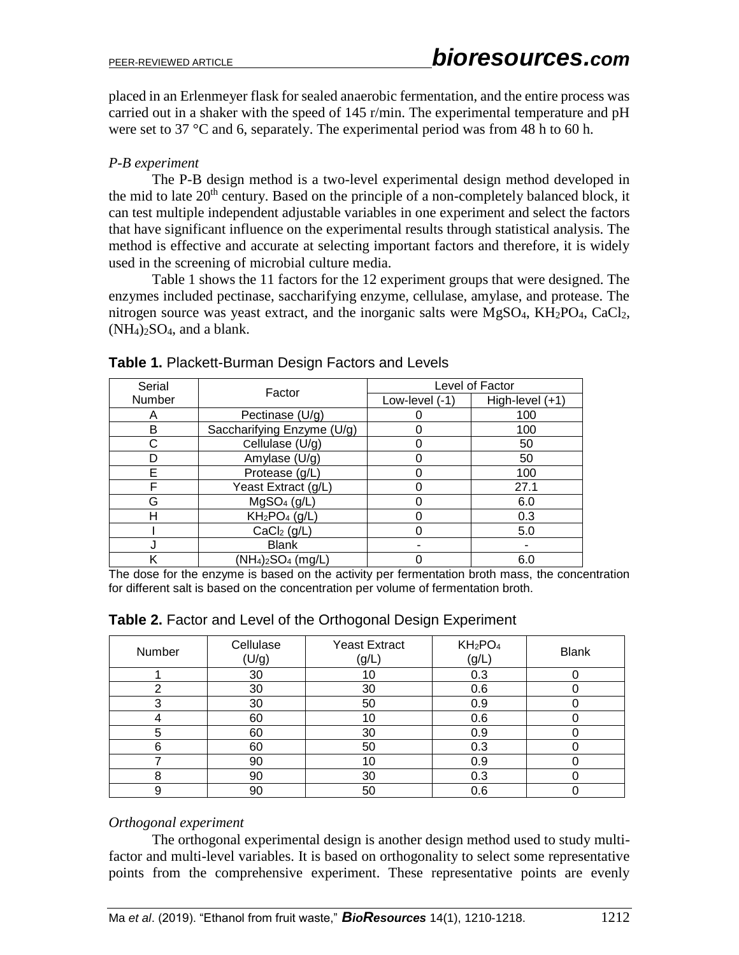placed in an Erlenmeyer flask for sealed anaerobic fermentation, and the entire process was carried out in a shaker with the speed of 145 r/min. The experimental temperature and pH were set to 37 °C and 6, separately. The experimental period was from 48 h to 60 h.

# *P-B experiment*

The P-B design method is a two-level experimental design method developed in the mid to late  $20<sup>th</sup>$  century. Based on the principle of a non-completely balanced block, it can test multiple independent adjustable variables in one experiment and select the factors that have significant influence on the experimental results through statistical analysis. The method is effective and accurate at selecting important factors and therefore, it is widely used in the screening of microbial culture media.

Table 1 shows the 11 factors for the 12 experiment groups that were designed. The enzymes included pectinase, saccharifying enzyme, cellulase, amylase, and protease. The nitrogen source was yeast extract, and the inorganic salts were  $MgSO<sub>4</sub>$ ,  $KH<sub>2</sub>PO<sub>4</sub>$ ,  $CaCl<sub>2</sub>$ ,  $(NH_4)_2SO_4$ , and a blank.

| Serial | Factor                     | Level of Factor  |                 |  |  |
|--------|----------------------------|------------------|-----------------|--|--|
| Number |                            | Low-level $(-1)$ | High-level (+1) |  |  |
| Α      | Pectinase (U/g)            |                  | 100             |  |  |
| В      | Saccharifying Enzyme (U/g) |                  | 100             |  |  |
|        | Cellulase (U/g)            |                  | 50              |  |  |
|        | Amylase (U/g)              |                  | 50              |  |  |
| F      | Protease (g/L)             |                  | 100             |  |  |
| F      | Yeast Extract (g/L)        |                  | 27.1            |  |  |
| G      | MgSO <sub>4</sub> (g/L)    |                  | 6.0             |  |  |
| Н      | $KH_2PO_4$ (g/L)           |                  | 0.3             |  |  |
|        | CaCl <sub>2</sub> (g/L)    |                  | 5.0             |  |  |
|        | <b>Blank</b>               |                  |                 |  |  |
|        | $(NH_4)_2SO_4$ (mg/L)      |                  | 6.0             |  |  |

## **Table 1.** Plackett-Burman Design Factors and Levels

The dose for the enzyme is based on the activity per fermentation broth mass, the concentration for different salt is based on the concentration per volume of fermentation broth.

| Number | Cellulase<br>(U/g) | <b>Yeast Extract</b><br>(g/L) | $KH_2PO_4$<br>(g/L | <b>Blank</b> |
|--------|--------------------|-------------------------------|--------------------|--------------|
|        | 30                 | 10                            | 0.3                |              |
| ⌒      | 30                 | 30                            | 0.6                |              |
| 3      | 30                 | 50                            | 0.9                |              |
|        | 60                 | 10                            | 0.6                |              |
| 5      | 60                 | 30                            | 0.9                |              |
| 6      | 60                 | 50                            | 0.3                |              |
|        | 90                 | 10                            | 0.9                |              |
| 8      | 90                 | 30                            | 0.3                |              |
| 9      | 90                 | 50                            | 0.6                |              |

## **Table 2.** Factor and Level of the Orthogonal Design Experiment

#### *Orthogonal experiment*

The orthogonal experimental design is another design method used to study multifactor and multi-level variables. It is based on orthogonality to select some representative points from the comprehensive experiment. These representative points are evenly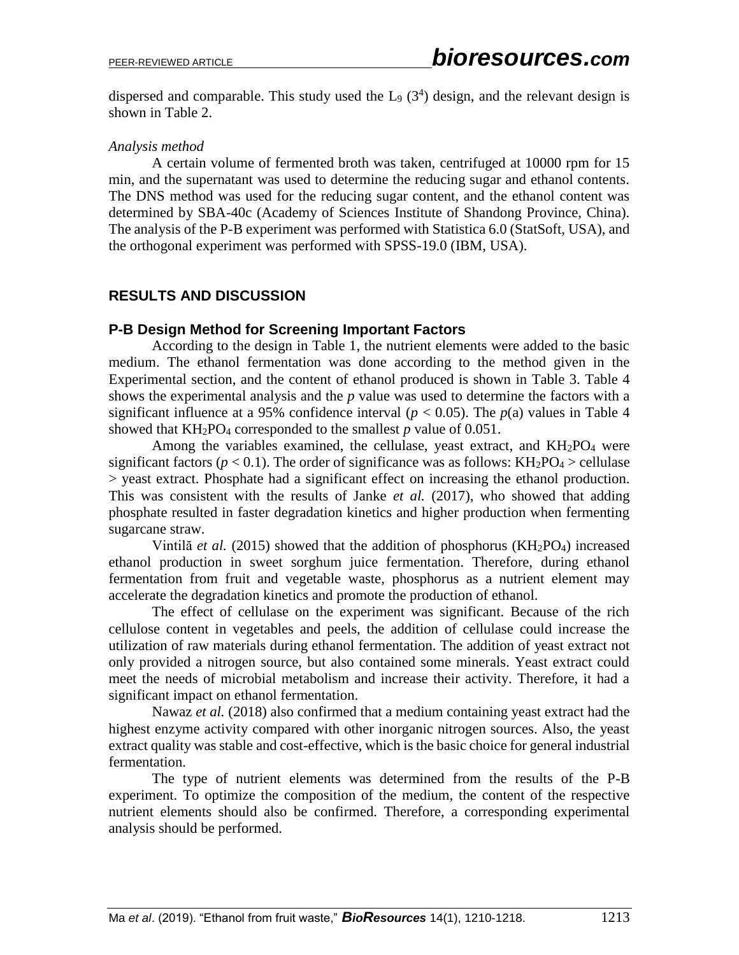dispersed and comparable. This study used the  $L_9$  (3<sup>4</sup>) design, and the relevant design is shown in Table 2.

## *Analysis method*

A certain volume of fermented broth was taken, centrifuged at 10000 rpm for 15 min, and the supernatant was used to determine the reducing sugar and ethanol contents. The DNS method was used for the reducing sugar content, and the ethanol content was determined by SBA-40c (Academy of Sciences Institute of Shandong Province, China). The analysis of the P-B experiment was performed with Statistica 6.0 (StatSoft, USA), and the orthogonal experiment was performed with SPSS-19.0 (IBM, USA).

# **RESULTS AND DISCUSSION**

## **P-B Design Method for Screening Important Factors**

According to the design in Table 1, the nutrient elements were added to the basic medium. The ethanol fermentation was done according to the method given in the Experimental section, and the content of ethanol produced is shown in Table 3. Table 4 shows the experimental analysis and the *p* value was used to determine the factors with a significant influence at a 95% confidence interval ( $p < 0.05$ ). The  $p(a)$  values in Table 4 showed that  $KH_2PO_4$  corresponded to the smallest  $p$  value of 0.051.

Among the variables examined, the cellulase, yeast extract, and  $KH<sub>2</sub>PO<sub>4</sub>$  were significant factors ( $p < 0.1$ ). The order of significance was as follows: KH<sub>2</sub>PO<sub>4</sub> > cellulase > yeast extract. Phosphate had a significant effect on increasing the ethanol production. This was consistent with the results of Janke *et al.* (2017), who showed that adding phosphate resulted in faster degradation kinetics and higher production when fermenting sugarcane straw.

Vintilă *et al.* (2015) showed that the addition of phosphorus (KH<sub>2</sub>PO<sub>4</sub>) increased ethanol production in sweet sorghum juice fermentation. Therefore, during ethanol fermentation from fruit and vegetable waste, phosphorus as a nutrient element may accelerate the degradation kinetics and promote the production of ethanol.

The effect of cellulase on the experiment was significant. Because of the rich cellulose content in vegetables and peels, the addition of cellulase could increase the utilization of raw materials during ethanol fermentation. The addition of yeast extract not only provided a nitrogen source, but also contained some minerals. Yeast extract could meet the needs of microbial metabolism and increase their activity. Therefore, it had a significant impact on ethanol fermentation.

Nawaz *et al.* (2018) also confirmed that a medium containing yeast extract had the highest enzyme activity compared with other inorganic nitrogen sources. Also, the yeast extract quality was stable and cost-effective, which is the basic choice for general industrial fermentation.

The type of nutrient elements was determined from the results of the P-B experiment. To optimize the composition of the medium, the content of the respective nutrient elements should also be confirmed. Therefore, a corresponding experimental analysis should be performed.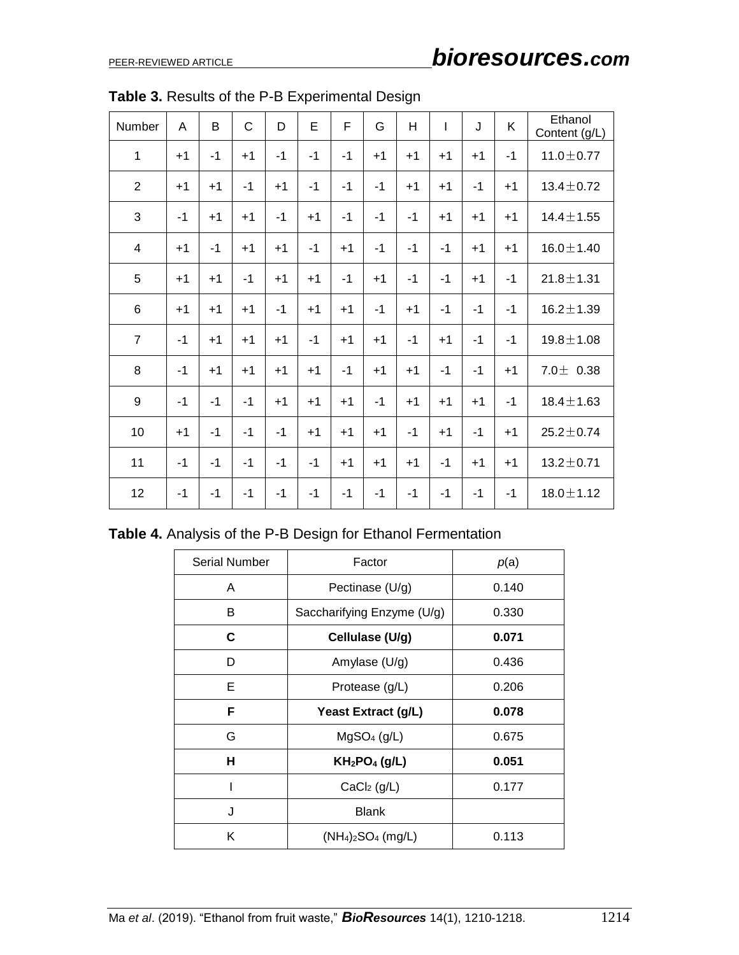| Number         | A    | B    | $\mathsf{C}$ | D    | E    | F    | G    | H    | $\overline{1}$ | J    | K    | Ethanol<br>Content (g/L) |
|----------------|------|------|--------------|------|------|------|------|------|----------------|------|------|--------------------------|
| $\mathbf{1}$   | $+1$ | $-1$ | $+1$         | $-1$ | $-1$ | $-1$ | $+1$ | $+1$ | $+1$           | $+1$ | $-1$ | $11.0 \pm 0.77$          |
| $\overline{2}$ | $+1$ | $+1$ | $-1$         | $+1$ | $-1$ | $-1$ | $-1$ | $+1$ | $+1$           | $-1$ | $+1$ | $13.4 \pm 0.72$          |
| 3              | $-1$ | $+1$ | $+1$         | $-1$ | $+1$ | $-1$ | $-1$ | $-1$ | $+1$           | $+1$ | $+1$ | $14.4 \pm 1.55$          |
| $\overline{4}$ | $+1$ | $-1$ | $+1$         | $+1$ | $-1$ | $+1$ | $-1$ | $-1$ | $-1$           | $+1$ | $+1$ | $16.0 \pm 1.40$          |
| 5              | $+1$ | $+1$ | $-1$         | $+1$ | $+1$ | $-1$ | $+1$ | $-1$ | $-1$           | $+1$ | $-1$ | $21.8 \pm 1.31$          |
| 6              | $+1$ | $+1$ | $+1$         | $-1$ | $+1$ | $+1$ | $-1$ | $+1$ | $-1$           | $-1$ | $-1$ | $16.2 \pm 1.39$          |
| $\overline{7}$ | $-1$ | $+1$ | $+1$         | $+1$ | $-1$ | $+1$ | $+1$ | $-1$ | $+1$           | $-1$ | $-1$ | $19.8 \pm 1.08$          |
| 8              | $-1$ | $+1$ | $+1$         | $+1$ | $+1$ | $-1$ | $+1$ | $+1$ | $-1$           | $-1$ | $+1$ | $7.0 \pm 0.38$           |
| 9              | $-1$ | $-1$ | $-1$         | $+1$ | $+1$ | $+1$ | $-1$ | $+1$ | $+1$           | $+1$ | $-1$ | $18.4 \pm 1.63$          |
| 10             | $+1$ | $-1$ | $-1$         | $-1$ | $+1$ | $+1$ | $+1$ | $-1$ | $+1$           | $-1$ | $+1$ | $25.2 \pm 0.74$          |
| 11             | $-1$ | $-1$ | $-1$         | $-1$ | $-1$ | $+1$ | $+1$ | $+1$ | $-1$           | $+1$ | $+1$ | $13.2 \pm 0.71$          |
| 12             | $-1$ | $-1$ | $-1$         | $-1$ | $-1$ | $-1$ | $-1$ | $-1$ | $-1$           | $-1$ | $-1$ | $18.0 \pm 1.12$          |

**Table 3.** Results of the P-B Experimental Design

**Table 4.** Analysis of the P-B Design for Ethanol Fermentation

| <b>Serial Number</b> | Factor                                | p(a)  |
|----------------------|---------------------------------------|-------|
| A                    | Pectinase (U/g)                       | 0.140 |
| B                    | Saccharifying Enzyme (U/g)            | 0.330 |
| С                    | Cellulase (U/g)                       | 0.071 |
| D                    | Amylase (U/g)                         | 0.436 |
| E                    | Protease (g/L)                        | 0.206 |
| F                    | Yeast Extract (g/L)                   | 0.078 |
| G                    | MgSO <sub>4</sub> (g/L)               | 0.675 |
| н                    | KH <sub>2</sub> PO <sub>4</sub> (g/L) | 0.051 |
|                      | CaCl <sub>2</sub> (g/L)               | 0.177 |
| J                    | <b>Blank</b>                          |       |
| Κ                    | $(NH4)2SO4 (mg/L)$                    | 0.113 |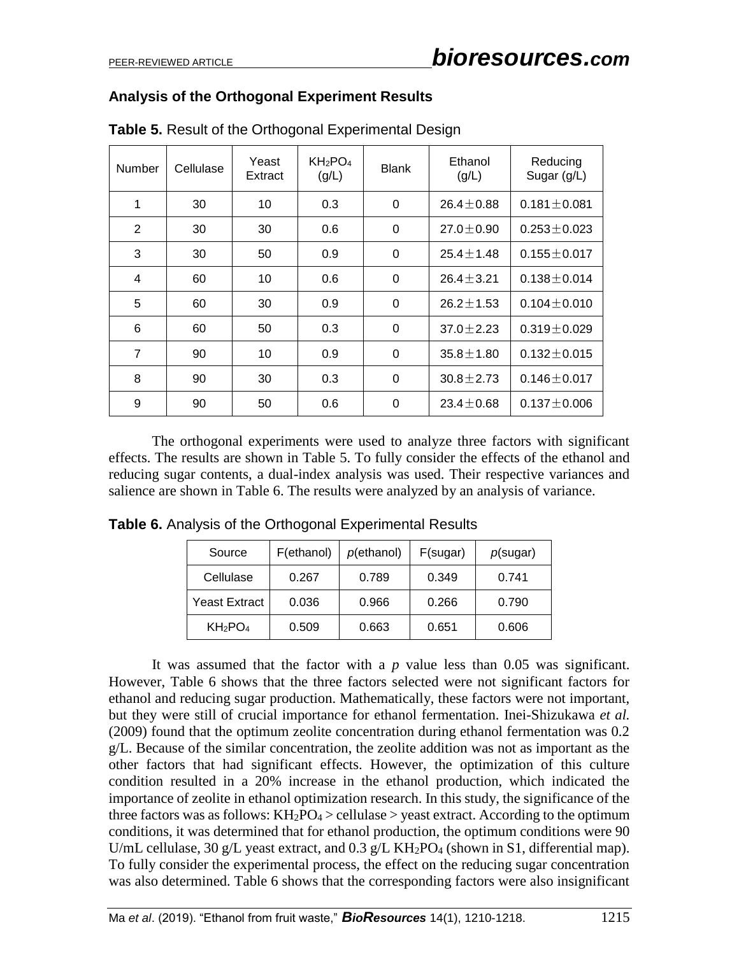# **Analysis of the Orthogonal Experiment Results**

| Number         | Cellulase | Yeast<br>Extract | KH <sub>2</sub> PO <sub>4</sub><br>(g/L) | <b>Blank</b> | Ethanol<br>(g/L) | Reducing<br>Sugar (g/L) |
|----------------|-----------|------------------|------------------------------------------|--------------|------------------|-------------------------|
| 1              | 30        | 10               | 0.3                                      | $\Omega$     | $26.4 + 0.88$    | $0.181 \pm 0.081$       |
| 2              | 30        | 30               | 0.6                                      | 0            | $27.0 + 0.90$    | $0.253 + 0.023$         |
| 3              | 30        | 50               | 0.9                                      | 0            | $25.4 + 1.48$    | $0.155 \pm 0.017$       |
| 4              | 60        | 10               | 0.6                                      | 0            | $26.4 \pm 3.21$  | $0.138 \pm 0.014$       |
| 5              | 60        | 30               | 0.9                                      | $\Omega$     | $26.2 + 1.53$    | $0.104 + 0.010$         |
| 6              | 60        | 50               | 0.3                                      | 0            | $37.0 + 2.23$    | $0.319 \pm 0.029$       |
| $\overline{7}$ | 90        | 10               | 0.9                                      | 0            | $35.8 \pm 1.80$  | $0.132 \pm 0.015$       |
| 8              | 90        | 30               | 0.3                                      | 0            | $30.8 \pm 2.73$  | $0.146 \pm 0.017$       |
| 9              | 90        | 50               | 0.6                                      | 0            | $23.4 + 0.68$    | $0.137 + 0.006$         |

**Table 5.** Result of the Orthogonal Experimental Design

The orthogonal experiments were used to analyze three factors with significant effects. The results are shown in Table 5. To fully consider the effects of the ethanol and reducing sugar contents, a dual-index analysis was used. Their respective variances and salience are shown in Table 6. The results were analyzed by an analysis of variance.

| Source                          | F(ethanol) | p(ethanol) | F(sugar) | $p$ (sugar) |
|---------------------------------|------------|------------|----------|-------------|
| Cellulase                       | 0.267      | 0.789      | 0.349    | 0.741       |
| Yeast Extract                   | 0.036      | 0.966      | 0.266    | 0.790       |
| KH <sub>2</sub> PO <sub>4</sub> | 0.509      | 0.663      | 0.651    | 0.606       |

**Table 6.** Analysis of the Orthogonal Experimental Results

It was assumed that the factor with a *p* value less than 0.05 was significant. However, Table 6 shows that the three factors selected were not significant factors for ethanol and reducing sugar production. Mathematically, these factors were not important, but they were still of crucial importance for ethanol fermentation. Inei-Shizukawa *et al.*  (2009) found that the optimum zeolite concentration during ethanol fermentation was 0.2 g/L. Because of the similar concentration, the zeolite addition was not as important as the other factors that had significant effects. However, the optimization of this culture condition resulted in a 20% increase in the ethanol production, which indicated the importance of zeolite in ethanol optimization research. In this study, the significance of the three factors was as follows:  $KH_2PO_4 >$  cellulase  $>$  yeast extract. According to the optimum conditions, it was determined that for ethanol production, the optimum conditions were 90 U/mL cellulase, 30 g/L yeast extract, and 0.3 g/L KH<sub>2</sub>PO<sub>4</sub> (shown in S1, differential map). To fully consider the experimental process, the effect on the reducing sugar concentration was also determined. Table 6 shows that the corresponding factors were also insignificant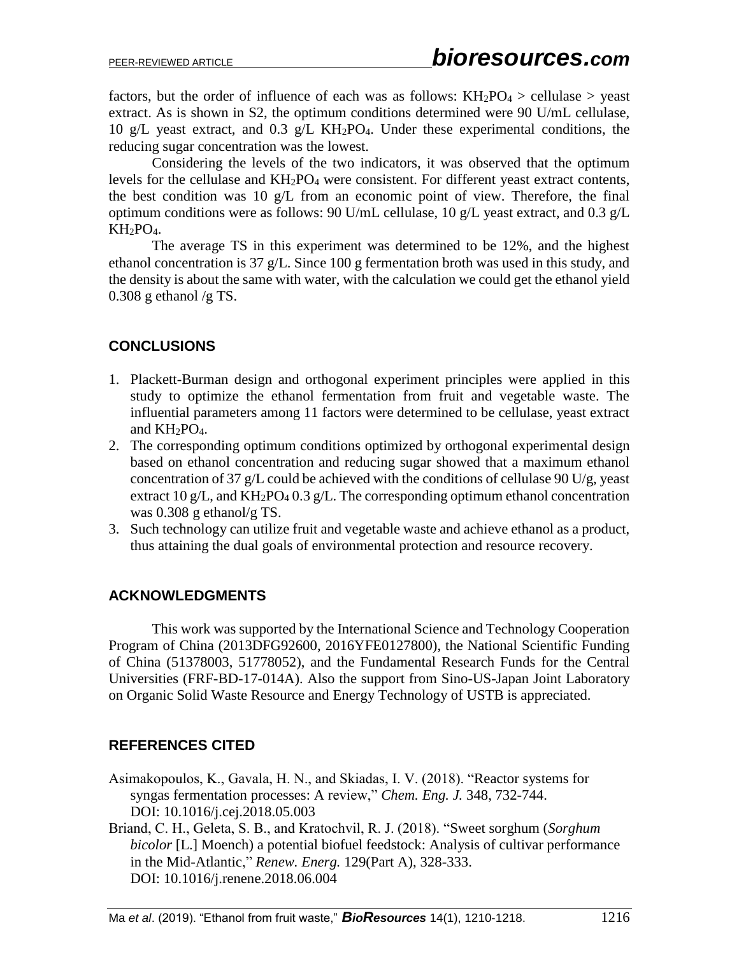factors, but the order of influence of each was as follows:  $KH_2PO_4 >$  cellulase  $>$  yeast extract. As is shown in S2, the optimum conditions determined were 90 U/mL cellulase, 10 g/L yeast extract, and 0.3 g/L KH2PO4. Under these experimental conditions, the reducing sugar concentration was the lowest.

Considering the levels of the two indicators, it was observed that the optimum levels for the cellulase and  $KH_2PO_4$  were consistent. For different yeast extract contents, the best condition was 10 g/L from an economic point of view. Therefore, the final optimum conditions were as follows: 90 U/mL cellulase, 10 g/L yeast extract, and 0.3 g/L KH<sub>2</sub>PO<sub>4</sub>.

The average TS in this experiment was determined to be 12%, and the highest ethanol concentration is 37 g/L. Since 100 g fermentation broth was used in this study, and the density is about the same with water, with the calculation we could get the ethanol yield 0.308 g ethanol /g TS.

# **CONCLUSIONS**

- 1. Plackett-Burman design and orthogonal experiment principles were applied in this study to optimize the ethanol fermentation from fruit and vegetable waste. The influential parameters among 11 factors were determined to be cellulase, yeast extract and  $KH_2PO_4$ .
- 2. The corresponding optimum conditions optimized by orthogonal experimental design based on ethanol concentration and reducing sugar showed that a maximum ethanol concentration of 37 g/L could be achieved with the conditions of cellulase 90 U/g, yeast extract 10 g/L, and  $KH_2PO_4$  0.3 g/L. The corresponding optimum ethanol concentration was 0.308 g ethanol/g TS.
- 3. Such technology can utilize fruit and vegetable waste and achieve ethanol as a product, thus attaining the dual goals of environmental protection and resource recovery.

# **ACKNOWLEDGMENTS**

This work was supported by the International Science and Technology Cooperation Program of China (2013DFG92600, 2016YFE0127800), the National Scientific Funding of China (51378003, 51778052), and the Fundamental Research Funds for the Central Universities (FRF-BD-17-014A). Also the support from Sino-US-Japan Joint Laboratory on Organic Solid Waste Resource and Energy Technology of USTB is appreciated.

# **REFERENCES CITED**

- Asimakopoulos, K., Gavala, H. N., and Skiadas, I. V. (2018). "Reactor systems for syngas fermentation processes: A review," *Chem. Eng. J.* 348, 732-744. DOI: 10.1016/j.cej.2018.05.003
- Briand, C. H., Geleta, S. B., and Kratochvil, R. J. (2018). "Sweet sorghum (*Sorghum bicolor* [L.] Moench) a potential biofuel feedstock: Analysis of cultivar performance in the Mid-Atlantic," *Renew. Energ.* 129(Part A), 328-333. DOI: 10.1016/j.renene.2018.06.004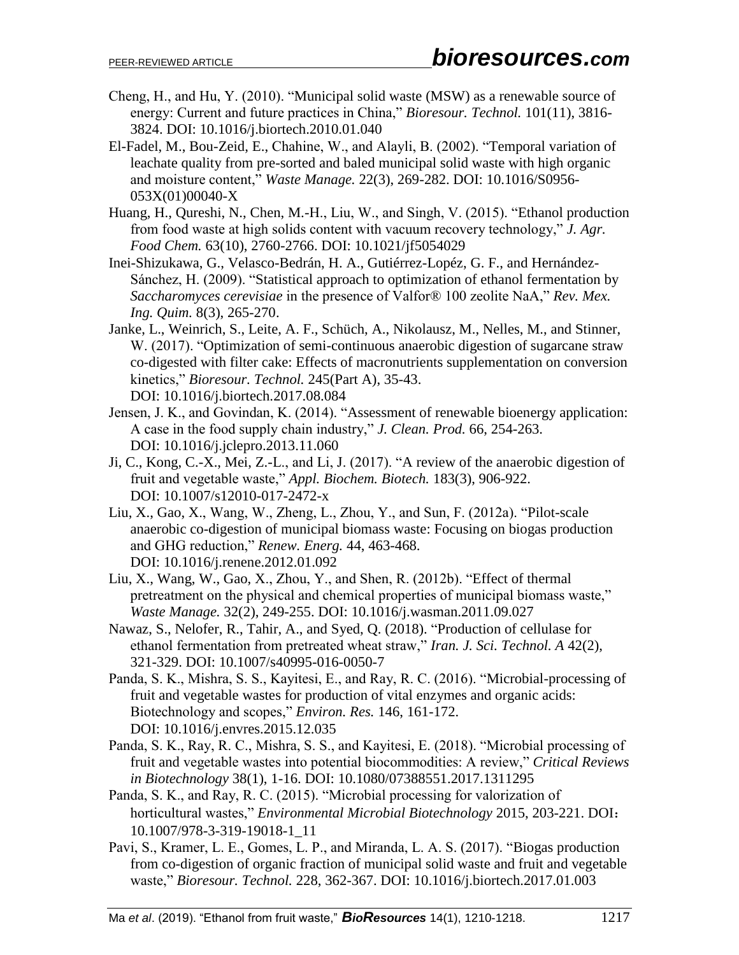- Cheng, H., and Hu, Y. (2010). "Municipal solid waste (MSW) as a renewable source of energy: Current and future practices in China," *Bioresour. Technol.* 101(11), 3816- 3824. DOI: 10.1016/j.biortech.2010.01.040
- El-Fadel, M., Bou-Zeid, E., Chahine, W., and Alayli, B. (2002). "Temporal variation of leachate quality from pre-sorted and baled municipal solid waste with high organic and moisture content," *Waste Manage.* 22(3), 269-282. DOI: 10.1016/S0956- 053X(01)00040-X
- Huang, H., Qureshi, N., Chen, M.-H., Liu, W., and Singh, V. (2015). "Ethanol production from food waste at high solids content with vacuum recovery technology," *J. Agr. Food Chem.* 63(10), 2760-2766. DOI: 10.1021/jf5054029
- Inei-Shizukawa, G., Velasco-Bedrán, H. A., Gutiérrez-Lopéz, G. F., and Hernández-Sánchez, H. (2009). "Statistical approach to optimization of ethanol fermentation by *Saccharomyces cerevisiae* in the presence of Valfor® 100 zeolite NaA," *Rev. Mex. Ing. Quim.* 8(3), 265-270.
- Janke, L., Weinrich, S., Leite, A. F., Schüch, A., Nikolausz, M., Nelles, M., and Stinner, W. (2017). "Optimization of semi-continuous anaerobic digestion of sugarcane straw co-digested with filter cake: Effects of macronutrients supplementation on conversion kinetics," *Bioresour. Technol.* 245(Part A), 35-43. DOI: 10.1016/j.biortech.2017.08.084
- Jensen, J. K., and Govindan, K. (2014). "Assessment of renewable bioenergy application: A case in the food supply chain industry," *J. Clean. Prod.* 66, 254-263. DOI: 10.1016/j.jclepro.2013.11.060
- Ji, C., Kong, C.-X., Mei, Z.-L., and Li, J. (2017). "A review of the anaerobic digestion of fruit and vegetable waste," *Appl. Biochem. Biotech.* 183(3), 906-922. DOI: 10.1007/s12010-017-2472-x
- Liu, X., Gao, X., Wang, W., Zheng, L., Zhou, Y., and Sun, F. (2012a). "Pilot-scale anaerobic co-digestion of municipal biomass waste: Focusing on biogas production and GHG reduction," *Renew. Energ.* 44, 463-468. DOI: 10.1016/j.renene.2012.01.092
- Liu, X., Wang, W., Gao, X., Zhou, Y., and Shen, R. (2012b). "Effect of thermal pretreatment on the physical and chemical properties of municipal biomass waste," *Waste Manage.* 32(2), 249-255. DOI: 10.1016/j.wasman.2011.09.027
- Nawaz, S., Nelofer, R., Tahir, A., and Syed, Q. (2018). "Production of cellulase for ethanol fermentation from pretreated wheat straw," *Iran. J. Sci. Technol. A* 42(2), 321-329. DOI: 10.1007/s40995-016-0050-7
- Panda, S. K., Mishra, S. S., Kayitesi, E., and Ray, R. C. (2016). "Microbial-processing of fruit and vegetable wastes for production of vital enzymes and organic acids: Biotechnology and scopes," *Environ. Res.* 146, 161-172. DOI: 10.1016/j.envres.2015.12.035
- Panda, S. K., Ray, R. C., Mishra, S. S., and Kayitesi, E. (2018). "Microbial processing of fruit and vegetable wastes into potential biocommodities: A review," *Critical Reviews in Biotechnology* 38(1), 1-16. DOI: 10.1080/07388551.2017.1311295
- Panda, S. K., and Ray, R. C. (2015). "Microbial processing for valorization of horticultural wastes," *Environmental Microbial Biotechnology* 2015, 203-221. DOI: 10.1007/978-3-319-19018-1\_11
- Pavi, S., Kramer, L. E., Gomes, L. P., and Miranda, L. A. S. (2017). "Biogas production from co-digestion of organic fraction of municipal solid waste and fruit and vegetable waste," *Bioresour. Technol.* 228, 362-367. DOI: 10.1016/j.biortech.2017.01.003